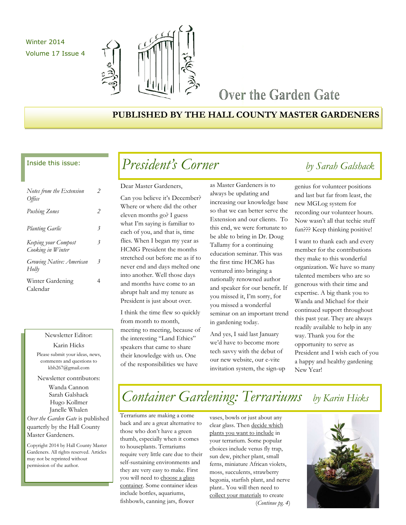Winter 2014 Volume 17 Issue 4



## Over the Garden Gate

## **PUBLISHED BY THE HALL COUNTY MASTER GARDENERS**

### Inside this issue:

| Notes from the Extension<br>Office        | 2 |
|-------------------------------------------|---|
| <b>Pushing Zones</b>                      | 2 |
| <b>Planting Garlic</b>                    | 3 |
| Keeping your Compost<br>Cooking in Winter | 3 |
| Growing Native: American<br>Holly         | 3 |
| Winter Gardening<br>Calendar              |   |

### Newsletter Editor:

Karin Hicks

Please submit your ideas, news, comments and questions to kbh267@gmail.com

Newsletter contributors:

Wanda Cannon Sarah Galshack Hugo Kollmer Janelle Whalen

*Over the Garden Gate* is published quarterly by the Hall County Master Gardeners.

Copyright 2014 by Hall County Master Gardeners. All rights reserved. Articles may not be reprinted without permission of the author.

# *President's Corner by Sarah Galshack*

Dear Master Gardeners,

Can you believe it's December? Where or where did the other eleven months go? I guess what I'm saying is familiar to each of you, and that is, time flies. When I began my year as HCMG President the months stretched out before me as if to never end and days melted one into another. Well those days and months have come to an abrupt halt and my tenure as President is just about over.

I think the time flew so quickly from month to month, meeting to meeting, because of the interesting "Land Ethics" speakers that came to share their knowledge with us. One of the responsibilities we have

as Master Gardeners is to always be updating and increasing our knowledge base so that we can better serve the Extension and our clients. To this end, we were fortunate to be able to bring in Dr. Doug Tallamy for a continuing education seminar. This was the first time HCMG has ventured into bringing a nationally renowned author and speaker for our benefit. If you missed it, I'm sorry, for you missed a wonderful seminar on an important trend in gardening today.

And yes, I said last January we'd have to become more tech savvy with the debut of our new website, our e-vite invitation system, the sign-up

genius for volunteer positions and last but far from least, the new MGLog system for recording our volunteer hours. Now wasn't all that techie stuff fun??? Keep thinking positive!

I want to thank each and every member for the contributions they make to this wonderful organization. We have so many talented members who are so generous with their time and expertise. A big thank you to Wanda and Michael for their continued support throughout this past year. They are always readily available to help in any way. Thank you for the opportunity to serve as President and I wish each of you a happy and healthy gardening New Year!

## *Container Gardening: Terrariums by Karin Hicks*

Terrariums are making a come back and are a great alternative to those who don't have a green thumb, especially when it comes to houseplants. Terrariums require very little care due to their self-sustaining environments and they are very easy to make. First you will need to choose a glass container. Some container ideas include bottles, aquariums, fishbowls, canning jars, flower

vases, bowls or just about any clear glass. Then decide which plants you want to include in your terrarium. Some popular choices include venus fly trap, sun dew, pitcher plant, small ferns, miniature African violets, moss, succulents, strawberry begonia, starfish plant, and nerve plant.. You will then need to collect your materials to create

(*Continue pg. 4*)

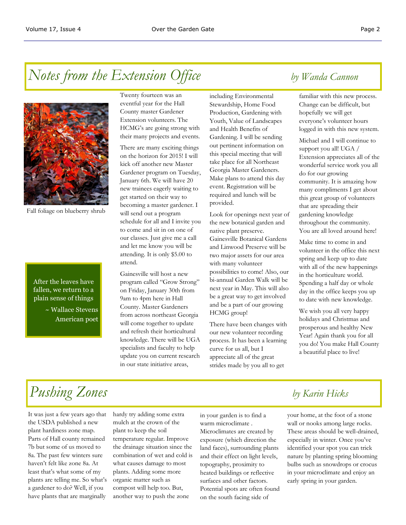# *Notes from the Extension Office by Wanda Cannon*



Fall foliage on blueberry shrub

### After the leaves have fallen, we return to a plain sense of things

~ Wallace Stevens American poet Twenty fourteen was an eventful year for the Hall County master Gardener Extension volunteers. The HCMG's are going strong with their many projects and events.

There are many exciting things on the horizon for 2015! I will kick off another new Master Gardener program on Tuesday, January 6th. We will have 20 new trainees eagerly waiting to get started on their way to becoming a master gardener. I will send out a program schedule for all and I invite you to come and sit in on one of our classes. Just give me a call and let me know you will be attending. It is only \$5.00 to attend.

Gainesville will host a new program called "Grow Strong" on Friday, January 30th from 9am to 4pm here in Hall County. Master Gardeners from across northeast Georgia will come together to update and refresh their horticultural knowledge. There will be UGA specialists and faculty to help update you on current research in our state initiative areas,

including Environmental Stewardship, Home Food Production, Gardening with Youth, Value of Landscapes and Health Benefits of Gardening. I will be sending out pertinent information on this special meeting that will take place for all Northeast Georgia Master Gardeners. Make plans to attend this day event. Registration will be required and lunch will be provided.

Look for openings next year of the new botanical garden and native plant preserve. Gainesville Botanical Gardens and Linwood Preserve will be two major assets for our area with many volunteer possibilities to come! Also, our bi-annual Garden Walk will be next year in May. This will also be a great way to get involved and be a part of our growing HCMG group!

There have been changes with our new volunteer recording process. It has been a learning curve for us all, but I appreciate all of the great strides made by you all to get

familiar with this new process. Change can be difficult, but hopefully we will get everyone's volunteer hours logged in with this new system.

Michael and I will continue to support you all! UGA / Extension appreciates all of the wonderful service work you all do for our growing community. It is amazing how many compliments I get about this great group of volunteers that are spreading their gardening knowledge throughout the community. You are all loved around here!

Make time to come in and volunteer in the office this next spring and keep up to date with all of the new happenings in the horticulture world. Spending a half day or whole day in the office keeps you up to date with new knowledge.

We wish you all very happy holidays and Christmas and prosperous and healthy New Year! Again thank you for all you do! You make Hall County a beautiful place to live!

# *Pushing Zones by Karin Hicks*

It was just a few years ago that the USDA published a new plant hardiness zone map. Parts of Hall county remained 7b but some of us moved to 8a. The past few winters sure haven't felt like zone 8a. At least that's what some of my plants are telling me. So what's a gardener to do? Well, if you have plants that are marginally

hardy try adding some extra mulch at the crown of the plant to keep the soil temperature regular. Improve the drainage situation since the combination of wet and cold is what causes damage to most plants. Adding some more organic matter such as compost will help too. But, another way to push the zone

in your garden is to find a warm microclimate . Microclimates are created by exposure (which direction the land faces), surrounding plants and their effect on light levels, topography, proximity to heated buildings or reflective surfaces and other factors. Potential spots are often found on the south facing side of

your home, at the foot of a stone wall or nooks among large rocks. These areas should be well-drained, especially in winter. Once you've identified your spot you can trick nature by planting spring blooming bulbs such as snowdrops or crocus in your microclimate and enjoy an early spring in your garden.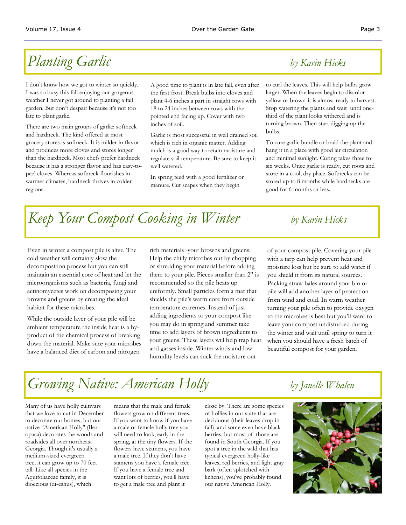# *Planting Garlic by Karin Hicks*

I don't know how we got to winter so quickly. I was so busy this fall enjoying our gorgeous weather I never got around to planting a fall garden. But don't despair because it's not too late to plant garlic.

There are two main groups of garlic: softneck and hardneck. The kind offered at most grocery stores is softneck. It is milder in flavor and produces more cloves and stores longer than the hardneck. Most chefs prefer hardneck because it has a stronger flavor and has easy-topeel cloves. Whereas softneck flourishes in warmer climates, hardneck thrives in colder regions.

A good time to plant is in late fall, even after the first frost. Break bulbs into cloves and plant 4-6 inches a part in straight rows with 18 to 24 inches between rows with the pointed end facing up. Cover with two inches of soil.

Garlic is most successful in well drained soil which is rich in organic matter. Adding mulch is a good way to retain moisture and regulate soil temperature. Be sure to keep it well watered.

In spring feed with a good fertilizer or manure. Cut scapes when they begin

to curl the leaves. This will help bulbs grow larger. When the leaves begin to discoloryellow or brown-it is almost ready to harvest. Stop watering the plants and wait until onethird of the plant looks withered and is turning brown. Then start digging up the bulbs.

To cure garlic bundle or braid the plant and hang it in a place with good air circulation and minimal sunlight. Curing takes three to six weeks. Once garlic is ready, cut roots and store in a cool, dry place. Softnecks can be stored up to 8 months while hardnecks are good for 6 months or less.

# *Keep Your Compost Cooking in Winter by Karin Hicks*

Even in winter a compost pile is alive. The cold weather will certainly slow the decomposition process but you can still maintain an essential core of heat and let the microorganisms such as bacteria, fungi and actinomycetes work on decomposing your browns and greens by creating the ideal habitat for these microbes.

While the outside layer of your pile will be ambient temperature the inside heat is a byproduct of the chemical process of breaking down the material. Make sure your microbes have a balanced diet of carbon and nitrogen

rich materials -your browns and greens. Help the chilly microbes out by chopping or shredding your material before adding them to your pile. Pieces smaller than 2" is recommended so the pile heats up uniformly. Small particles form a mat that shields the pile's warm core from outside temperature extremes. Instead of just adding ingredients to your compost like you may do in spring and summer take time to add layers of brown ingredients to your greens. These layers will help trap heat and gasses inside. Winter winds and low humidity levels can suck the moisture out

of your compost pile. Covering your pile with a tarp can help prevent heat and moisture loss but be sure to add water if you shield it from its natural sources. Packing straw bales around your bin or pile will add another layer of protection from wind and cold. In warm weather turning your pile often to provide oxygen to the microbes is best but you'll want to leave your compost undisturbed during the winter and wait until spring to turn it when you should have a fresh batch of beautiful compost for your garden.

# *Growing Native: American Holly by Janelle Whalen*

Many of us have holly cultivars that we love to cut in December to decorate our homes, but our native "American Holly" (Ilex opaca) decorates the woods and roadsides all over northeast Georgia. Though it's usually a medium-sized evergreen tree, it can grow up to 70 feet tall. Like all species in the Aquifoliaceae family, it is dioecious (di-eshus), which

means that the male and female flowers grow on different trees. If you want to know if you have a male or female holly tree you will need to look, early in the spring, at the tiny flowers. If the flowers have stamens, you have a male tree. If they don't have stamens you have a female tree. If you have a female tree and want lots of berries, you'll have to get a male tree and plant it

close by. There are some species of hollies in our state that are deciduous (their leaves drop in fall), and some even have black berries, but most of those are found in South Georgia. If you spot a tree in the wild that has typical evergreen holly-like leaves, red berries, and light gray bark (often splotched with lichens), you've probably found our native American Holly.